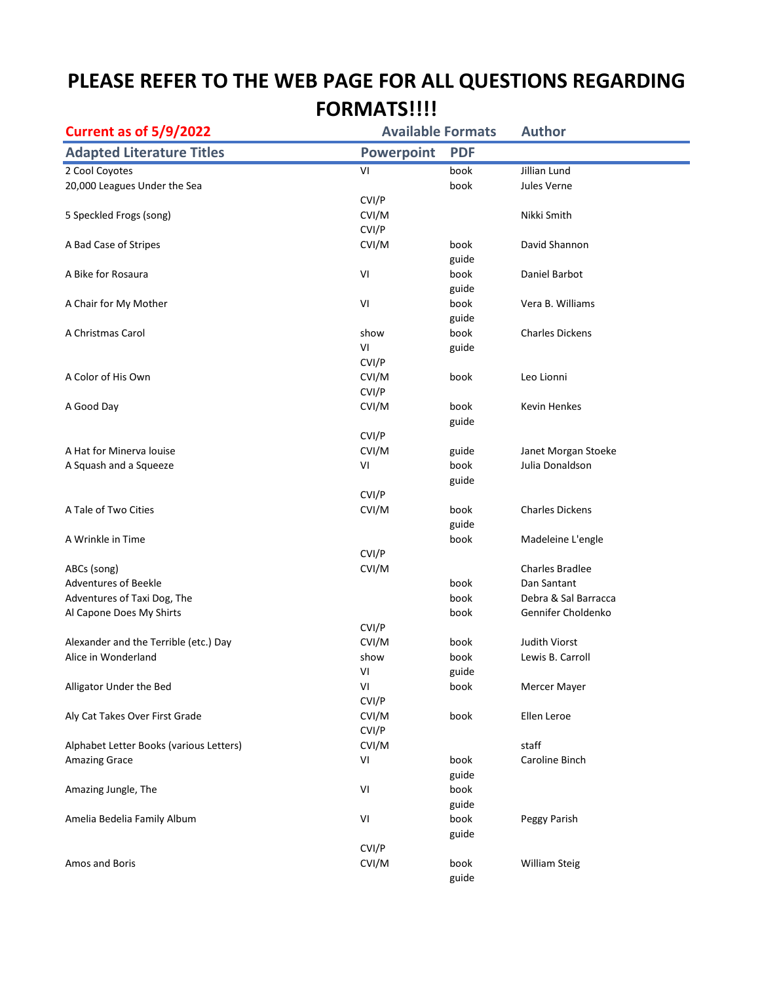## **PLEASE REFER TO THE WEB PAGE FOR ALL QUESTIONS REGARDING FORMATS!!!!**

| <b>Current as of 5/9/2022</b>           | <b>Available Formats</b> |            | <b>Author</b>          |
|-----------------------------------------|--------------------------|------------|------------------------|
| <b>Adapted Literature Titles</b>        | <b>Powerpoint</b>        | <b>PDF</b> |                        |
| 2 Cool Coyotes                          | VI                       | book       | Jillian Lund           |
| 20,000 Leagues Under the Sea            |                          | book       | Jules Verne            |
|                                         | CVI/P                    |            |                        |
| 5 Speckled Frogs (song)                 | CVI/M                    |            | Nikki Smith            |
|                                         | CVI/P                    |            |                        |
| A Bad Case of Stripes                   | CVI/M                    | book       | David Shannon          |
|                                         |                          | guide      |                        |
| A Bike for Rosaura                      | VI                       | book       | Daniel Barbot          |
|                                         |                          | guide      |                        |
| A Chair for My Mother                   | VI                       | book       | Vera B. Williams       |
|                                         |                          | guide      |                        |
| A Christmas Carol                       | show                     | book       | <b>Charles Dickens</b> |
|                                         | VI                       | guide      |                        |
|                                         | CVI/P                    |            |                        |
| A Color of His Own                      | CVI/M                    | book       | Leo Lionni             |
|                                         | CVI/P                    |            |                        |
| A Good Day                              | CVI/M                    | book       | <b>Kevin Henkes</b>    |
|                                         |                          | guide      |                        |
|                                         | CVI/P                    |            |                        |
| A Hat for Minerva louise                | CVI/M                    | guide      | Janet Morgan Stoeke    |
| A Squash and a Squeeze                  | VI                       | book       | Julia Donaldson        |
|                                         |                          | guide      |                        |
|                                         | CVI/P                    |            |                        |
| A Tale of Two Cities                    | CVI/M                    | book       | <b>Charles Dickens</b> |
|                                         |                          | guide      |                        |
| A Wrinkle in Time                       |                          | book       | Madeleine L'engle      |
|                                         | CVI/P                    |            |                        |
| ABCs (song)                             | CVI/M                    |            | <b>Charles Bradlee</b> |
| <b>Adventures of Beekle</b>             |                          | book       | Dan Santant            |
| Adventures of Taxi Dog, The             |                          | book       | Debra & Sal Barracca   |
| Al Capone Does My Shirts                |                          | book       | Gennifer Choldenko     |
|                                         | CVI/P                    |            |                        |
| Alexander and the Terrible (etc.) Day   | CVI/M                    | book       | <b>Judith Viorst</b>   |
| Alice in Wonderland                     | show                     | book       | Lewis B. Carroll       |
|                                         | VI                       | guide      |                        |
| Alligator Under the Bed                 | VI<br>CVI/P              | book       | Mercer Mayer           |
|                                         | CVI/M                    |            |                        |
| Aly Cat Takes Over First Grade          | CVI/P                    | book       | Ellen Leroe            |
| Alphabet Letter Books (various Letters) | CVI/M                    |            | staff                  |
|                                         | VI                       | book       | Caroline Binch         |
| Amazing Grace                           |                          | guide      |                        |
| Amazing Jungle, The                     | VI                       | book       |                        |
|                                         |                          | guide      |                        |
| Amelia Bedelia Family Album             | VI                       | book       | Peggy Parish           |
|                                         |                          | guide      |                        |
|                                         | CVI/P                    |            |                        |
| Amos and Boris                          | CVI/M                    | book       | William Steig          |
|                                         |                          | guide      |                        |
|                                         |                          |            |                        |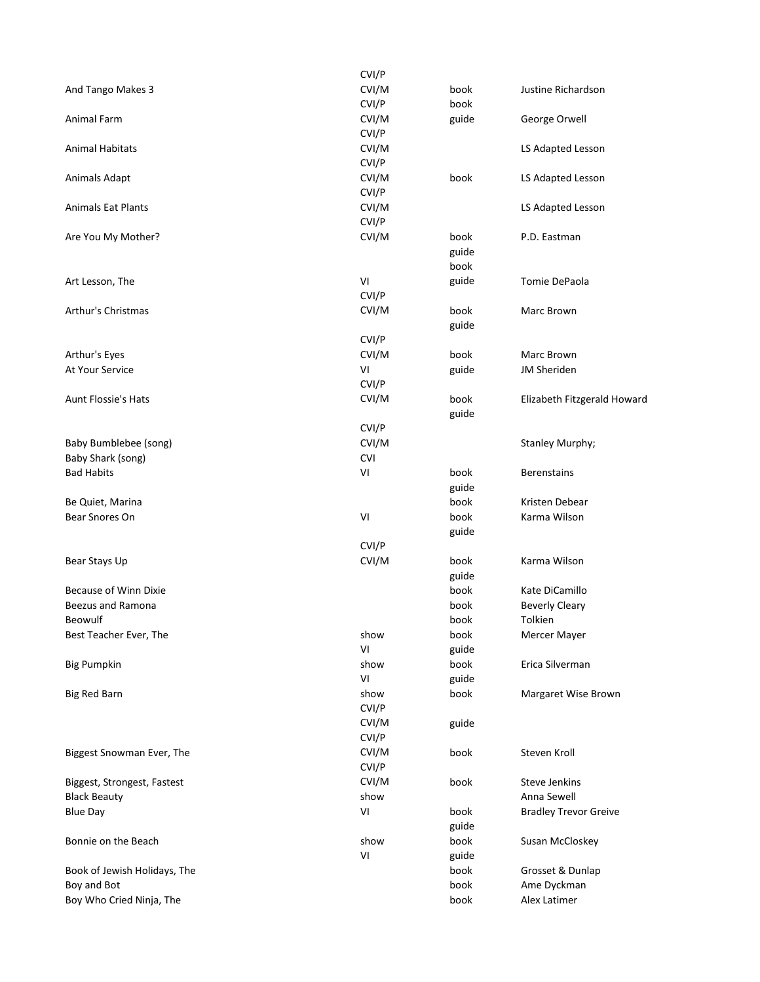|                              | CVI/P      |       |                              |
|------------------------------|------------|-------|------------------------------|
| And Tango Makes 3            | CVI/M      | book  | Justine Richardson           |
|                              | CVI/P      | book  |                              |
| Animal Farm                  | CVI/M      | guide | George Orwell                |
|                              | CVI/P      |       |                              |
| <b>Animal Habitats</b>       | CVI/M      |       | LS Adapted Lesson            |
|                              | CVI/P      |       |                              |
| Animals Adapt                | CVI/M      | book  | LS Adapted Lesson            |
|                              | CVI/P      |       |                              |
| <b>Animals Eat Plants</b>    | CVI/M      |       | LS Adapted Lesson            |
|                              | CVI/P      |       |                              |
| Are You My Mother?           | CVI/M      | book  | P.D. Eastman                 |
|                              |            | guide |                              |
|                              |            | book  |                              |
| Art Lesson, The              | VI         | guide | Tomie DePaola                |
|                              | CVI/P      |       |                              |
| Arthur's Christmas           | CVI/M      | book  | Marc Brown                   |
|                              |            | guide |                              |
|                              | CVI/P      |       |                              |
| Arthur's Eyes                | CVI/M      | book  | Marc Brown                   |
| At Your Service              | VI         | guide | <b>JM Sheriden</b>           |
|                              | CVI/P      |       |                              |
| <b>Aunt Flossie's Hats</b>   | CVI/M      | book  | Elizabeth Fitzgerald Howard  |
|                              |            | guide |                              |
|                              | CVI/P      |       |                              |
| Baby Bumblebee (song)        | CVI/M      |       | Stanley Murphy;              |
| Baby Shark (song)            | <b>CVI</b> |       |                              |
| <b>Bad Habits</b>            | VI         | book  | <b>Berenstains</b>           |
|                              |            | guide |                              |
| Be Quiet, Marina             |            | book  | Kristen Debear               |
| Bear Snores On               | VI         | book  | Karma Wilson                 |
|                              |            | guide |                              |
|                              | CVI/P      |       |                              |
| Bear Stays Up                | CVI/M      | book  | Karma Wilson                 |
|                              |            | guide |                              |
| <b>Because of Winn Dixie</b> |            | book  | Kate DiCamillo               |
| <b>Beezus and Ramona</b>     |            | book  | <b>Beverly Cleary</b>        |
| Beowulf                      |            | book  | Tolkien                      |
| Best Teacher Ever, The       | show       | book  | Mercer Mayer                 |
|                              | VI         | guide |                              |
| <b>Big Pumpkin</b>           | show       | book  | Erica Silverman              |
|                              | VI         | guide |                              |
| <b>Big Red Barn</b>          | show       | book  | Margaret Wise Brown          |
|                              | CVI/P      |       |                              |
|                              | CVI/M      | guide |                              |
|                              | CVI/P      |       |                              |
| Biggest Snowman Ever, The    | CVI/M      | book  | Steven Kroll                 |
|                              | CVI/P      |       |                              |
| Biggest, Strongest, Fastest  | CVI/M      | book  | <b>Steve Jenkins</b>         |
| <b>Black Beauty</b>          | show       |       | Anna Sewell                  |
| <b>Blue Day</b>              | VI         | book  | <b>Bradley Trevor Greive</b> |
|                              |            | guide |                              |
| Bonnie on the Beach          | show       | book  | Susan McCloskey              |
|                              | VI         | guide |                              |
| Book of Jewish Holidays, The |            | book  | Grosset & Dunlap             |
| Boy and Bot                  |            | book  | Ame Dyckman                  |
| Boy Who Cried Ninja, The     |            | book  | Alex Latimer                 |
|                              |            |       |                              |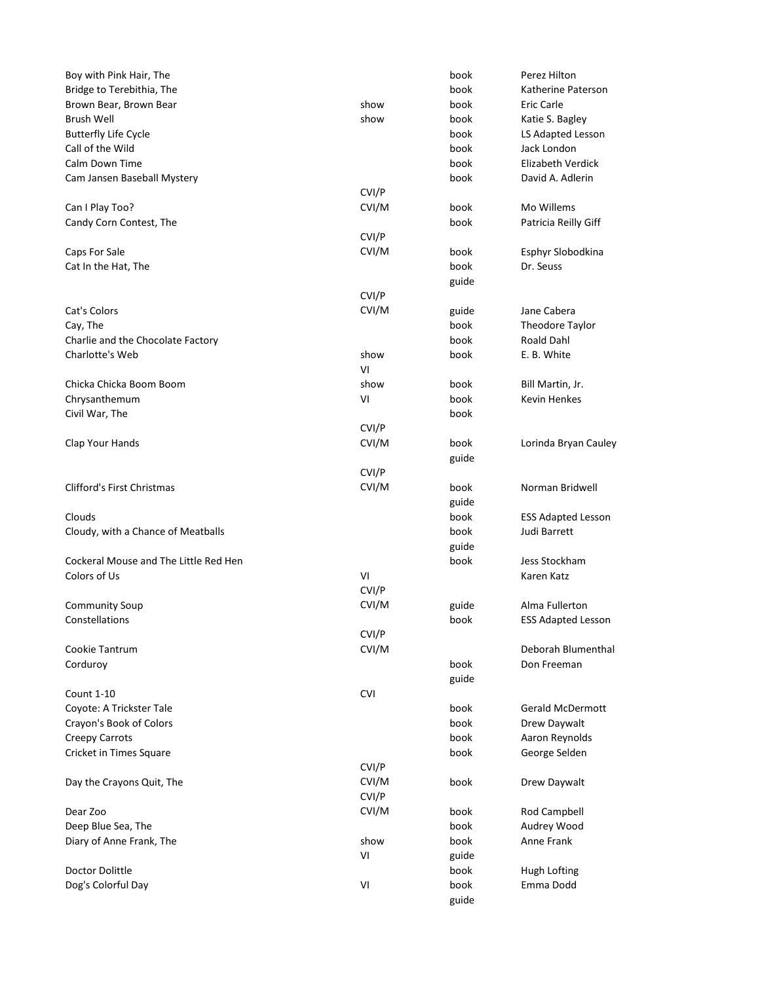| Boy with Pink Hair, The               |            | book  | Perez Hilton              |
|---------------------------------------|------------|-------|---------------------------|
| Bridge to Terebithia, The             |            | book  | Katherine Paterson        |
| Brown Bear, Brown Bear                | show       | book  | Eric Carle                |
| <b>Brush Well</b>                     | show       | book  | Katie S. Bagley           |
| <b>Butterfly Life Cycle</b>           |            | book  | LS Adapted Lesson         |
| Call of the Wild                      |            | book  | Jack London               |
| Calm Down Time                        |            | book  | <b>Elizabeth Verdick</b>  |
| Cam Jansen Baseball Mystery           |            | book  | David A. Adlerin          |
|                                       | CVI/P      |       |                           |
| Can I Play Too?                       | CVI/M      | book  | Mo Willems                |
| Candy Corn Contest, The               |            | book  | Patricia Reilly Giff      |
|                                       | CVI/P      |       |                           |
| Caps For Sale                         | CVI/M      | book  | Esphyr Slobodkina         |
| Cat In the Hat, The                   |            | book  | Dr. Seuss                 |
|                                       |            | guide |                           |
|                                       | CVI/P      |       |                           |
| Cat's Colors                          | CVI/M      | guide | Jane Cabera               |
| Cay, The                              |            | book  | Theodore Taylor           |
| Charlie and the Chocolate Factory     |            | book  | Roald Dahl                |
| Charlotte's Web                       | show       | book  | E. B. White               |
|                                       | VI         |       |                           |
| Chicka Chicka Boom Boom               | show       | book  | Bill Martin, Jr.          |
| Chrysanthemum                         | VI         | book  | <b>Kevin Henkes</b>       |
| Civil War, The                        |            | book  |                           |
|                                       | CVI/P      |       |                           |
| Clap Your Hands                       | CVI/M      | book  | Lorinda Bryan Cauley      |
|                                       |            | guide |                           |
|                                       | CVI/P      |       |                           |
| Clifford's First Christmas            | CVI/M      | book  | Norman Bridwell           |
|                                       |            | guide |                           |
| Clouds                                |            | book  | <b>ESS Adapted Lesson</b> |
| Cloudy, with a Chance of Meatballs    |            | book  | Judi Barrett              |
|                                       |            | guide |                           |
| Cockeral Mouse and The Little Red Hen |            | book  | Jess Stockham             |
| Colors of Us                          | VI         |       | Karen Katz                |
|                                       | CVI/P      |       |                           |
| <b>Community Soup</b>                 | CVI/M      | guide | Alma Fullerton            |
| Constellations                        |            | book  | <b>ESS Adapted Lesson</b> |
|                                       | CVI/P      |       |                           |
| Cookie Tantrum                        | CVI/M      |       | Deborah Blumenthal        |
| Corduroy                              |            | book  | Don Freeman               |
|                                       |            | guide |                           |
| <b>Count 1-10</b>                     | <b>CVI</b> |       |                           |
| Coyote: A Trickster Tale              |            | book  | <b>Gerald McDermott</b>   |
| Crayon's Book of Colors               |            | book  | Drew Daywalt              |
| <b>Creepy Carrots</b>                 |            | book  | Aaron Reynolds            |
| Cricket in Times Square               |            | book  | George Selden             |
|                                       | CVI/P      |       |                           |
| Day the Crayons Quit, The             | CVI/M      | book  | Drew Daywalt              |
|                                       | CVI/P      |       |                           |
| Dear Zoo                              | CVI/M      | book  | Rod Campbell              |
| Deep Blue Sea, The                    |            | book  | Audrey Wood               |
| Diary of Anne Frank, The              | show       | book  | Anne Frank                |
|                                       | VI         | guide |                           |
| Doctor Dolittle                       |            | book  | Hugh Lofting              |
| Dog's Colorful Day                    | VI         | book  | Emma Dodd                 |
|                                       |            | guide |                           |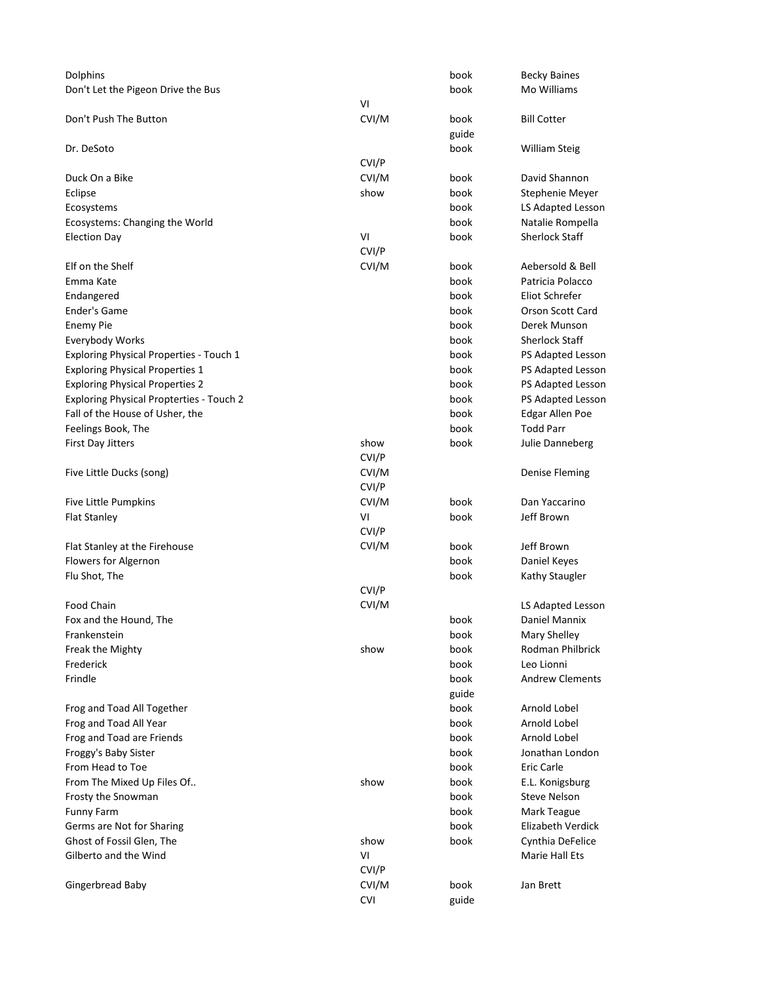| Dolphins                                        |               | book  | <b>Becky Baines</b>     |  |
|-------------------------------------------------|---------------|-------|-------------------------|--|
| Don't Let the Pigeon Drive the Bus              |               | book  | Mo Williams             |  |
|                                                 | VI            |       |                         |  |
| Don't Push The Button                           | CVI/M         | book  | <b>Bill Cotter</b>      |  |
|                                                 |               | guide |                         |  |
| Dr. DeSoto                                      |               | book  | <b>William Steig</b>    |  |
|                                                 | CVI/P         |       |                         |  |
| Duck On a Bike                                  | CVI/M         | book  | David Shannon           |  |
| Eclipse                                         | show          | book  | Stephenie Meyer         |  |
| Ecosystems                                      |               | book  | LS Adapted Lesson       |  |
| Ecosystems: Changing the World                  |               | book  | Natalie Rompella        |  |
| <b>Election Day</b>                             | VI            | book  | <b>Sherlock Staff</b>   |  |
|                                                 | CVI/P         |       |                         |  |
| Elf on the Shelf                                | CVI/M         | book  | Aebersold & Bell        |  |
| Emma Kate                                       |               | book  | Patricia Polacco        |  |
| Endangered                                      |               | book  | Eliot Schrefer          |  |
| Ender's Game                                    |               | book  | <b>Orson Scott Card</b> |  |
| <b>Enemy Pie</b>                                |               | book  | Derek Munson            |  |
| Everybody Works                                 |               | book  | <b>Sherlock Staff</b>   |  |
| <b>Exploring Physical Properties - Touch 1</b>  |               | book  | PS Adapted Lesson       |  |
| <b>Exploring Physical Properties 1</b>          |               | book  | PS Adapted Lesson       |  |
| <b>Exploring Physical Properties 2</b>          |               | book  | PS Adapted Lesson       |  |
| <b>Exploring Physical Propterties - Touch 2</b> |               | book  | PS Adapted Lesson       |  |
| Fall of the House of Usher, the                 |               | book  | Edgar Allen Poe         |  |
| Feelings Book, The                              |               | book  | <b>Todd Parr</b>        |  |
| <b>First Day Jitters</b>                        | show<br>CVI/P | book  | Julie Danneberg         |  |
| Five Little Ducks (song)                        | CVI/M         |       | Denise Fleming          |  |
|                                                 | CVI/P         |       |                         |  |
| Five Little Pumpkins                            | CVI/M         | book  | Dan Yaccarino           |  |
| <b>Flat Stanley</b>                             | VI            | book  | Jeff Brown              |  |
|                                                 | CVI/P         |       |                         |  |
| Flat Stanley at the Firehouse                   | CVI/M         | book  | Jeff Brown              |  |
| Flowers for Algernon                            |               | book  | Daniel Keyes            |  |
| Flu Shot, The                                   |               | book  | Kathy Staugler          |  |
|                                                 | CVI/P         |       |                         |  |
| <b>Food Chain</b>                               | CVI/M         |       | LS Adapted Lesson       |  |
| Fox and the Hound, The                          |               | book  | Daniel Mannix           |  |
| Frankenstein                                    |               | book  | Mary Shelley            |  |
| Freak the Mighty                                | show          | book  | Rodman Philbrick        |  |
| Frederick                                       |               | book  | Leo Lionni              |  |
| Frindle                                         |               | book  | <b>Andrew Clements</b>  |  |
|                                                 |               | guide |                         |  |
| Frog and Toad All Together                      |               | book  | Arnold Lobel            |  |
| Frog and Toad All Year                          |               | book  | Arnold Lobel            |  |
| Frog and Toad are Friends                       |               | book  | Arnold Lobel            |  |
| Froggy's Baby Sister                            |               | book  | Jonathan London         |  |
| From Head to Toe                                |               | book  | Eric Carle              |  |
| From The Mixed Up Files Of                      | show          | book  | E.L. Konigsburg         |  |
| Frosty the Snowman                              |               | book  | Steve Nelson            |  |
| <b>Funny Farm</b>                               |               | book  | Mark Teague             |  |
| Germs are Not for Sharing                       |               | book  | Elizabeth Verdick       |  |
| Ghost of Fossil Glen, The                       | show          | book  | Cynthia DeFelice        |  |
| Gilberto and the Wind                           | VI            |       | Marie Hall Ets          |  |
|                                                 | CVI/P         |       |                         |  |
| Gingerbread Baby                                | CVI/M         | book  | Jan Brett               |  |
|                                                 | <b>CVI</b>    | guide |                         |  |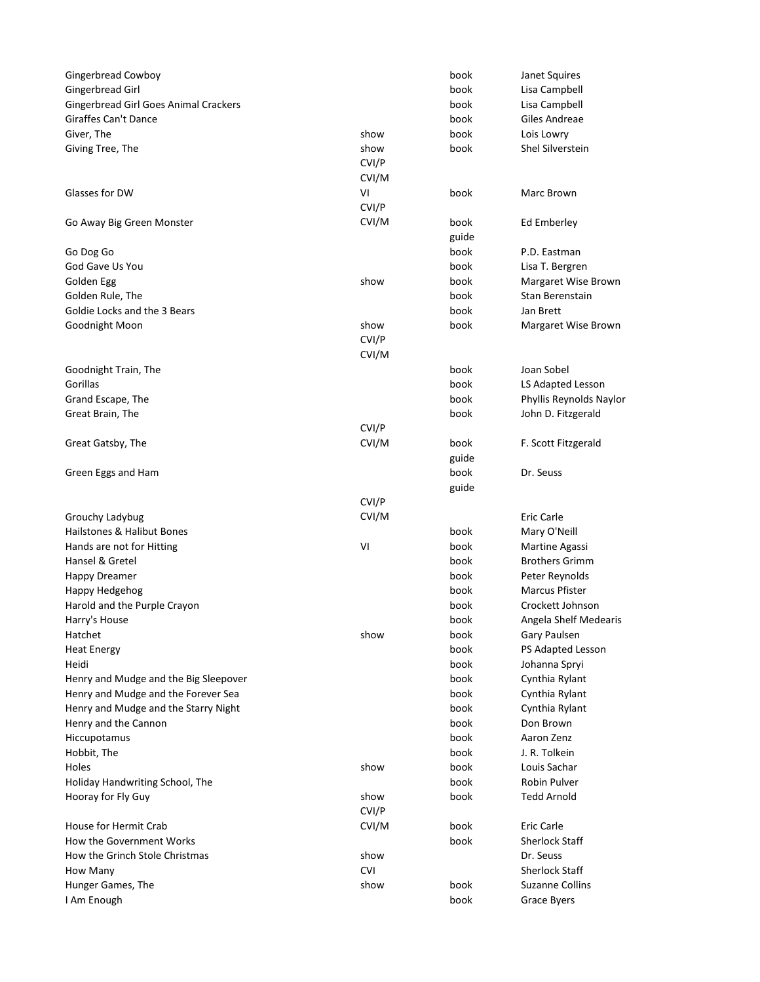| <b>Gingerbread Cowboy</b>                    |            | book  | Janet Squires           |
|----------------------------------------------|------------|-------|-------------------------|
| Gingerbread Girl                             |            | book  | Lisa Campbell           |
| <b>Gingerbread Girl Goes Animal Crackers</b> |            | book  | Lisa Campbell           |
| Giraffes Can't Dance                         |            | book  | Giles Andreae           |
| Giver, The                                   | show       | book  | Lois Lowry              |
| Giving Tree, The                             | show       | book  | Shel Silverstein        |
|                                              | CVI/P      |       |                         |
|                                              | CVI/M      |       |                         |
| Glasses for DW                               | VI         | book  | Marc Brown              |
|                                              | CVI/P      |       |                         |
| Go Away Big Green Monster                    | CVI/M      | book  | Ed Emberley             |
|                                              |            | guide |                         |
| Go Dog Go                                    |            | book  | P.D. Eastman            |
| God Gave Us You                              |            | book  | Lisa T. Bergren         |
| Golden Egg                                   | show       | book  | Margaret Wise Brown     |
| Golden Rule, The                             |            | book  | Stan Berenstain         |
| Goldie Locks and the 3 Bears                 |            | book  | Jan Brett               |
| Goodnight Moon                               | show       | book  | Margaret Wise Brown     |
|                                              | CVI/P      |       |                         |
|                                              | CVI/M      |       |                         |
| Goodnight Train, The                         |            | book  | Joan Sobel              |
| Gorillas                                     |            | book  | LS Adapted Lesson       |
| Grand Escape, The                            |            | book  | Phyllis Reynolds Naylor |
| Great Brain, The                             |            | book  | John D. Fitzgerald      |
|                                              | CVI/P      |       |                         |
| Great Gatsby, The                            | CVI/M      | book  | F. Scott Fitzgerald     |
|                                              |            | guide |                         |
| Green Eggs and Ham                           |            | book  | Dr. Seuss               |
|                                              |            | guide |                         |
|                                              | CVI/P      |       |                         |
| Grouchy Ladybug                              | CVI/M      |       | Eric Carle              |
| Hailstones & Halibut Bones                   |            | book  | Mary O'Neill            |
| Hands are not for Hitting                    | VI         | book  | Martine Agassi          |
| Hansel & Gretel                              |            | book  | <b>Brothers Grimm</b>   |
| <b>Happy Dreamer</b>                         |            | book  | Peter Reynolds          |
| Happy Hedgehog                               |            | book  | <b>Marcus Pfister</b>   |
| Harold and the Purple Crayon                 |            | book  | Crockett Johnson        |
| Harry's House                                |            | book  | Angela Shelf Medearis   |
| Hatchet                                      | show       | book  | Gary Paulsen            |
| <b>Heat Energy</b>                           |            | book  | PS Adapted Lesson       |
| Heidi                                        |            | book  | Johanna Spryi           |
| Henry and Mudge and the Big Sleepover        |            | book  | Cynthia Rylant          |
| Henry and Mudge and the Forever Sea          |            | book  | Cynthia Rylant          |
| Henry and Mudge and the Starry Night         |            | book  | Cynthia Rylant          |
| Henry and the Cannon                         |            | book  | Don Brown               |
| Hiccupotamus                                 |            | book  | Aaron Zenz              |
| Hobbit, The                                  |            | book  | J. R. Tolkein           |
| Holes                                        | show       | book  | Louis Sachar            |
| Holiday Handwriting School, The              |            | book  | Robin Pulver            |
| Hooray for Fly Guy                           | show       | book  | <b>Tedd Arnold</b>      |
|                                              | CVI/P      |       |                         |
| House for Hermit Crab                        | CVI/M      | book  | Eric Carle              |
| How the Government Works                     |            | book  | <b>Sherlock Staff</b>   |
| How the Grinch Stole Christmas               | show       |       | Dr. Seuss               |
| How Many                                     | <b>CVI</b> |       | <b>Sherlock Staff</b>   |
| Hunger Games, The                            | show       | book  | <b>Suzanne Collins</b>  |
| I Am Enough                                  |            | book  | Grace Byers             |
|                                              |            |       |                         |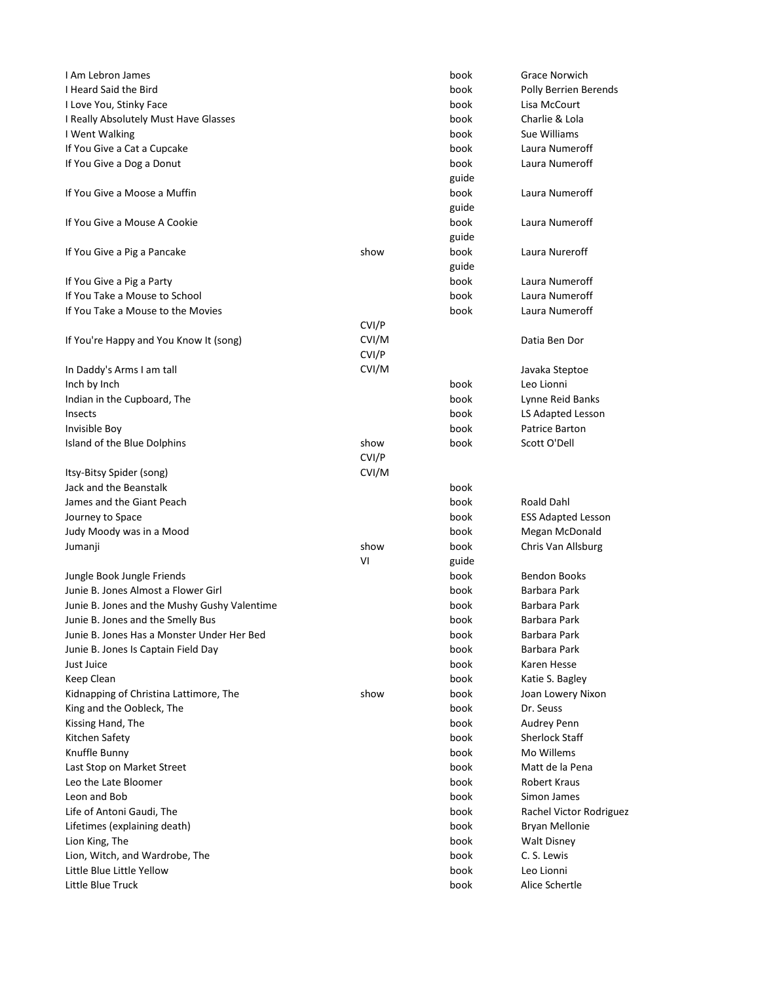| I Am Lebron James                            |       | book  | <b>Grace Norwich</b>         |
|----------------------------------------------|-------|-------|------------------------------|
| I Heard Said the Bird                        |       | book  | <b>Polly Berrien Berends</b> |
| I Love You, Stinky Face                      |       | book  | Lisa McCourt                 |
| I Really Absolutely Must Have Glasses        |       | book  | Charlie & Lola               |
| I Went Walking                               |       | book  | Sue Williams                 |
| If You Give a Cat a Cupcake                  |       | book  | Laura Numeroff               |
| If You Give a Dog a Donut                    |       | book  | Laura Numeroff               |
|                                              |       | guide |                              |
| If You Give a Moose a Muffin                 |       | book  | Laura Numeroff               |
|                                              |       | guide |                              |
| If You Give a Mouse A Cookie                 |       | book  | Laura Numeroff               |
|                                              |       | guide |                              |
| If You Give a Pig a Pancake                  | show  | book  | Laura Nureroff               |
|                                              |       | guide |                              |
| If You Give a Pig a Party                    |       | book  | Laura Numeroff               |
| If You Take a Mouse to School                |       | book  | Laura Numeroff               |
| If You Take a Mouse to the Movies            |       | book  | Laura Numeroff               |
|                                              | CVI/P |       |                              |
| If You're Happy and You Know It (song)       | CVI/M |       | Datia Ben Dor                |
|                                              | CVI/P |       |                              |
|                                              | CVI/M |       |                              |
| In Daddy's Arms I am tall                    |       |       | Javaka Steptoe               |
| Inch by Inch                                 |       | book  | Leo Lionni                   |
| Indian in the Cupboard, The                  |       | book  | Lynne Reid Banks             |
| Insects                                      |       | book  | LS Adapted Lesson            |
| Invisible Boy                                |       | book  | Patrice Barton               |
| Island of the Blue Dolphins                  | show  | book  | Scott O'Dell                 |
|                                              | CVI/P |       |                              |
| Itsy-Bitsy Spider (song)                     | CVI/M |       |                              |
| Jack and the Beanstalk                       |       | book  |                              |
| James and the Giant Peach                    |       | book  | Roald Dahl                   |
| Journey to Space                             |       | book  | <b>ESS Adapted Lesson</b>    |
| Judy Moody was in a Mood                     |       | book  | Megan McDonald               |
| Jumanji                                      | show  | book  | Chris Van Allsburg           |
|                                              | VI    | guide |                              |
| Jungle Book Jungle Friends                   |       | book  | <b>Bendon Books</b>          |
| Junie B. Jones Almost a Flower Girl          |       | book  | Barbara Park                 |
| Junie B. Jones and the Mushy Gushy Valentime |       | book  | Barbara Park                 |
| Junie B. Jones and the Smelly Bus            |       | book  | Barbara Park                 |
| Junie B. Jones Has a Monster Under Her Bed   |       | book  | Barbara Park                 |
| Junie B. Jones Is Captain Field Day          |       | book  | Barbara Park                 |
| Just Juice                                   |       | book  | Karen Hesse                  |
| Keep Clean                                   |       | book  | Katie S. Bagley              |
| Kidnapping of Christina Lattimore, The       | show  | book  | Joan Lowery Nixon            |
| King and the Oobleck, The                    |       | book  | Dr. Seuss                    |
| Kissing Hand, The                            |       | book  | Audrey Penn                  |
| Kitchen Safety                               |       | book  | <b>Sherlock Staff</b>        |
| Knuffle Bunny                                |       | book  | Mo Willems                   |
| Last Stop on Market Street                   |       | book  | Matt de la Pena              |
| Leo the Late Bloomer                         |       | book  | Robert Kraus                 |
| Leon and Bob                                 |       | book  | Simon James                  |
|                                              |       |       |                              |
| Life of Antoni Gaudi, The                    |       | book  | Rachel Victor Rodriguez      |
| Lifetimes (explaining death)                 |       | book  | Bryan Mellonie               |
| Lion King, The                               |       | book  | <b>Walt Disney</b>           |
| Lion, Witch, and Wardrobe, The               |       | book  | C. S. Lewis                  |
| Little Blue Little Yellow                    |       | book  | Leo Lionni                   |
| Little Blue Truck                            |       | book  | Alice Schertle               |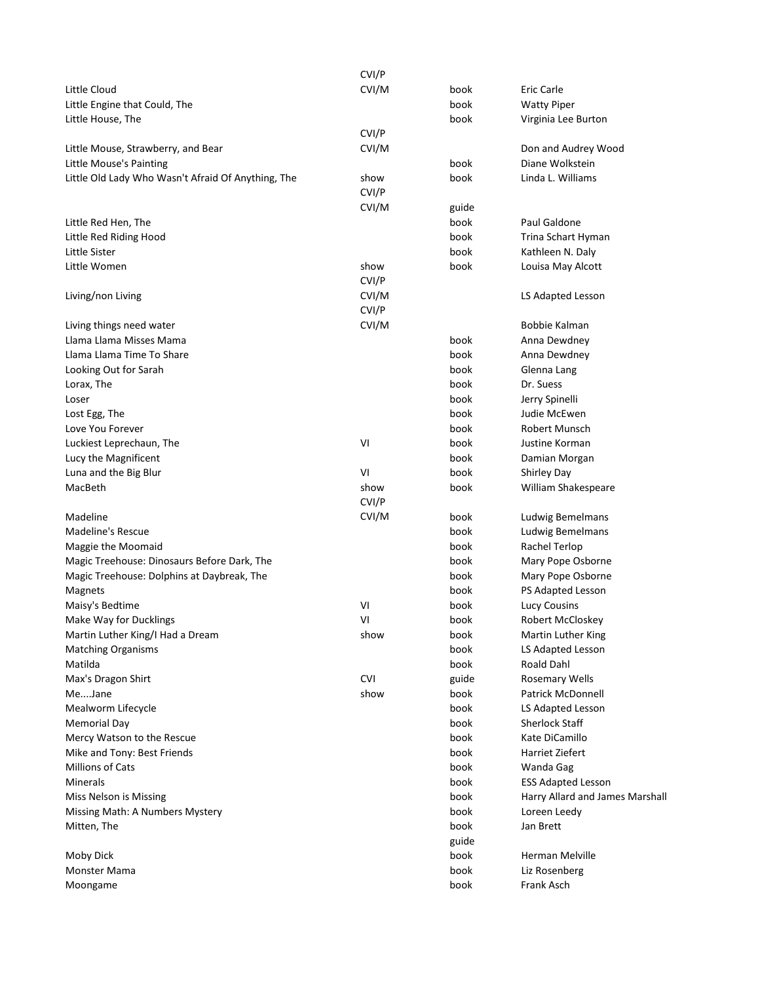|                                                    | CVI/P |               |                                 |
|----------------------------------------------------|-------|---------------|---------------------------------|
| Little Cloud                                       | CVI/M | book          | Eric Carle                      |
| Little Engine that Could, The                      |       | book          | <b>Watty Piper</b>              |
| Little House, The                                  |       | book          | Virginia Lee Burton             |
|                                                    | CVI/P |               |                                 |
| Little Mouse, Strawberry, and Bear                 | CVI/M |               | Don and Audrey Wood             |
| Little Mouse's Painting                            |       | book          | Diane Wolkstein                 |
| Little Old Lady Who Wasn't Afraid Of Anything, The | show  | book          | Linda L. Williams               |
|                                                    | CVI/P |               |                                 |
|                                                    | CVI/M | guide         |                                 |
| Little Red Hen, The                                |       | book          | Paul Galdone                    |
| Little Red Riding Hood                             |       | book          | Trina Schart Hyman              |
| Little Sister                                      |       | book          | Kathleen N. Daly                |
| Little Women                                       | show  | book          | Louisa May Alcott               |
|                                                    | CVI/P |               |                                 |
| Living/non Living                                  | CVI/M |               | LS Adapted Lesson               |
|                                                    | CVI/P |               |                                 |
| Living things need water                           | CVI/M |               | Bobbie Kalman                   |
| Llama Llama Misses Mama                            |       | book          | Anna Dewdney                    |
| Llama Llama Time To Share                          |       | book          | Anna Dewdney                    |
| Looking Out for Sarah                              |       | book          | Glenna Lang                     |
| Lorax, The                                         |       | book          | Dr. Suess                       |
| Loser                                              |       | book          | Jerry Spinelli                  |
| Lost Egg, The                                      |       | book          | Judie McEwen                    |
| Love You Forever                                   |       | book          | <b>Robert Munsch</b>            |
| Luckiest Leprechaun, The                           | VI    | book          | Justine Korman                  |
| Lucy the Magnificent                               |       | book          | Damian Morgan                   |
| Luna and the Big Blur                              | VI    | book          | <b>Shirley Day</b>              |
| MacBeth                                            | show  | book          | William Shakespeare             |
|                                                    | CVI/P |               |                                 |
| Madeline                                           | CVI/M | book          | Ludwig Bemelmans                |
| Madeline's Rescue                                  |       | book          | Ludwig Bemelmans                |
| Maggie the Moomaid                                 |       | book          | Rachel Terlop                   |
| Magic Treehouse: Dinosaurs Before Dark, The        |       | book          | Mary Pope Osborne               |
| Magic Treehouse: Dolphins at Daybreak, The         |       | book          | Mary Pope Osborne               |
| Magnets                                            |       | book          | PS Adapted Lesson               |
| Maisy's Bedtime                                    | VI    | book          | Lucy Cousins                    |
| Make Way for Ducklings                             | VI    | book          | Robert McCloskey                |
| Martin Luther King/I Had a Dream                   | show  | book          | Martin Luther King              |
| <b>Matching Organisms</b>                          |       | book          | LS Adapted Lesson               |
| Matilda                                            |       | book          | Roald Dahl                      |
| Max's Dragon Shirt                                 | CVI   | guide         | <b>Rosemary Wells</b>           |
| MeJane                                             | show  | book          | Patrick McDonnell               |
| Mealworm Lifecycle                                 |       | book          | LS Adapted Lesson               |
| <b>Memorial Day</b>                                |       | book          | Sherlock Staff                  |
| Mercy Watson to the Rescue                         |       | book          | Kate DiCamillo                  |
| Mike and Tony: Best Friends                        |       | book          | Harriet Ziefert                 |
| <b>Millions of Cats</b>                            |       | book          | Wanda Gag                       |
| Minerals                                           |       | book          | <b>ESS Adapted Lesson</b>       |
| Miss Nelson is Missing                             |       | book          | Harry Allard and James Marshall |
| Missing Math: A Numbers Mystery                    |       | book          |                                 |
|                                                    |       |               | Loreen Leedy                    |
| Mitten, The                                        |       | book<br>guide | Jan Brett                       |
| Moby Dick                                          |       | book          | Herman Melville                 |
|                                                    |       |               |                                 |
| Monster Mama                                       |       | book          | Liz Rosenberg                   |
| Moongame                                           |       | book          | Frank Asch                      |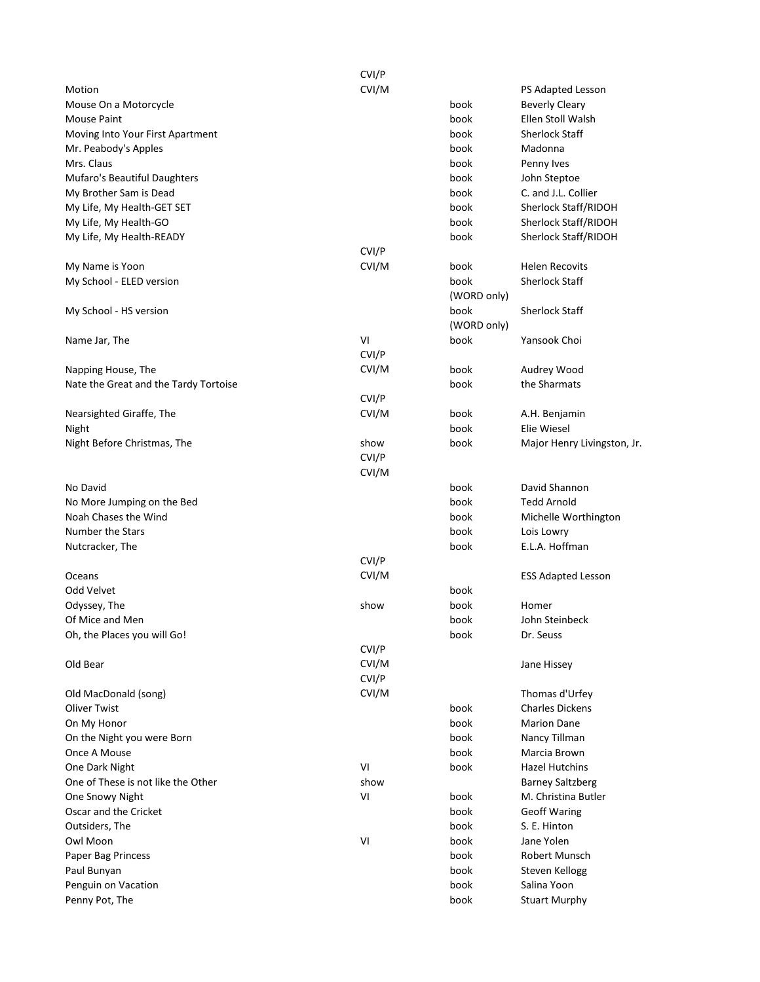|                                       | CVI/P |             |                             |
|---------------------------------------|-------|-------------|-----------------------------|
| Motion                                | CVI/M |             | PS Adapted Lesson           |
| Mouse On a Motorcycle                 |       | book        | <b>Beverly Cleary</b>       |
| <b>Mouse Paint</b>                    |       | book        | Ellen Stoll Walsh           |
| Moving Into Your First Apartment      |       | book        | <b>Sherlock Staff</b>       |
| Mr. Peabody's Apples                  |       | book        | Madonna                     |
| Mrs. Claus                            |       | book        | Penny Ives                  |
| Mufaro's Beautiful Daughters          |       | book        | John Steptoe                |
| My Brother Sam is Dead                |       | book        | C. and J.L. Collier         |
| My Life, My Health-GET SET            |       | book        | Sherlock Staff/RIDOH        |
| My Life, My Health-GO                 |       | book        | Sherlock Staff/RIDOH        |
| My Life, My Health-READY              |       | book        | Sherlock Staff/RIDOH        |
|                                       | CVI/P |             |                             |
| My Name is Yoon                       | CVI/M | book        | <b>Helen Recovits</b>       |
| My School - ELED version              |       | book        | <b>Sherlock Staff</b>       |
|                                       |       | (WORD only) |                             |
| My School - HS version                |       | book        | <b>Sherlock Staff</b>       |
|                                       |       | (WORD only) |                             |
| Name Jar, The                         | VI    | book        | Yansook Choi                |
|                                       | CVI/P |             |                             |
| Napping House, The                    | CVI/M | book        | Audrey Wood                 |
| Nate the Great and the Tardy Tortoise |       | book        | the Sharmats                |
|                                       | CVI/P |             |                             |
| Nearsighted Giraffe, The              | CVI/M | book        | A.H. Benjamin               |
| Night                                 |       | book        | Elie Wiesel                 |
| Night Before Christmas, The           | show  | book        | Major Henry Livingston, Jr. |
|                                       | CVI/P |             |                             |
|                                       | CVI/M |             |                             |
| No David                              |       | book        | David Shannon               |
| No More Jumping on the Bed            |       | book        | <b>Tedd Arnold</b>          |
| Noah Chases the Wind                  |       | book        | Michelle Worthington        |
| Number the Stars                      |       | book        | Lois Lowry                  |
| Nutcracker, The                       |       | book        | E.L.A. Hoffman              |
|                                       | CVI/P |             |                             |
| Oceans                                | CVI/M |             | <b>ESS Adapted Lesson</b>   |
| Odd Velvet                            |       | book        |                             |
| Odyssey, The                          | show  | book        | Homer                       |
| Of Mice and Men                       |       | book        | John Steinbeck              |
| Oh, the Places you will Go!           |       | book        | Dr. Seuss                   |
|                                       | CVI/P |             |                             |
| Old Bear                              | CVI/M |             | Jane Hissey                 |
|                                       | CVI/P |             |                             |
| Old MacDonald (song)                  | CVI/M |             | Thomas d'Urfey              |
| <b>Oliver Twist</b>                   |       | book        | <b>Charles Dickens</b>      |
| On My Honor                           |       | book        | <b>Marion Dane</b>          |
| On the Night you were Born            |       | book        | Nancy Tillman               |
| Once A Mouse                          |       | book        | Marcia Brown                |
| One Dark Night                        | VI    | book        | <b>Hazel Hutchins</b>       |
| One of These is not like the Other    | show  |             | <b>Barney Saltzberg</b>     |
| One Snowy Night                       | VI    | book        | M. Christina Butler         |
| Oscar and the Cricket                 |       | book        | <b>Geoff Waring</b>         |
| Outsiders, The                        |       | book        | S. E. Hinton                |
|                                       | VI    | book        | Jane Yolen                  |
| Owl Moon                              |       |             |                             |
| Paper Bag Princess                    |       | book        | Robert Munsch               |
| Paul Bunyan                           |       | book        | Steven Kellogg              |
| Penguin on Vacation                   |       | book        | Salina Yoon                 |
| Penny Pot, The                        |       | book        | <b>Stuart Murphy</b>        |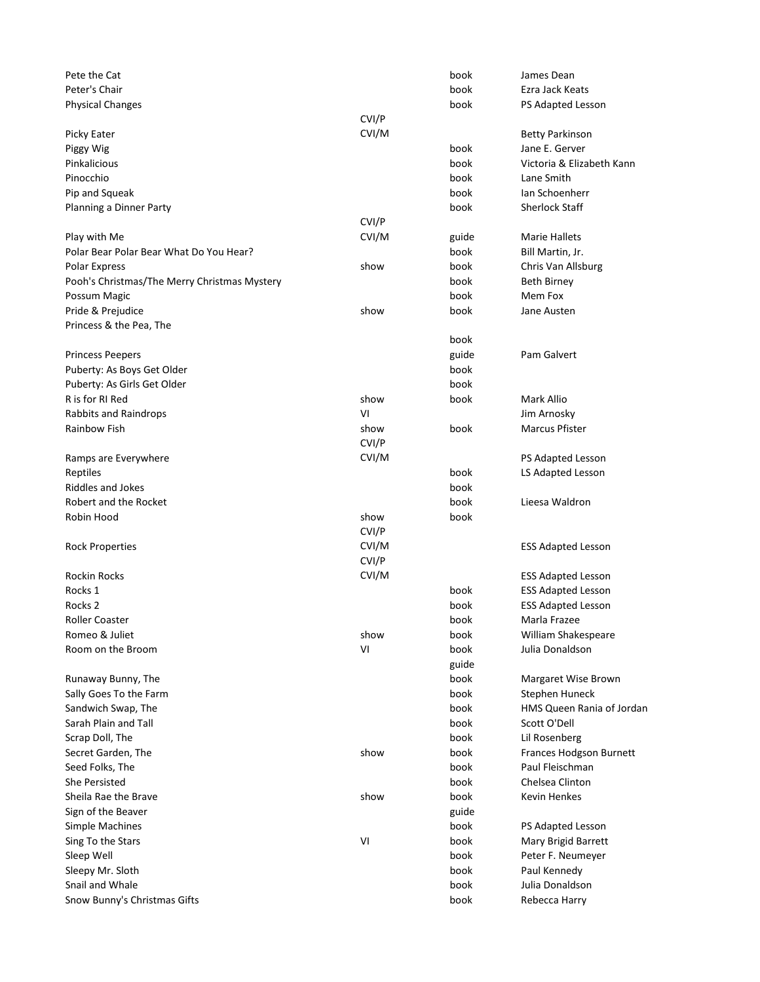| Pete the Cat                                 |       | book          | James Dean                |
|----------------------------------------------|-------|---------------|---------------------------|
| Peter's Chair                                |       | book          | Ezra Jack Keats           |
| <b>Physical Changes</b>                      |       | book          | PS Adapted Lesson         |
|                                              | CVI/P |               |                           |
| Picky Eater                                  | CVI/M |               | <b>Betty Parkinson</b>    |
| Piggy Wig                                    |       | book          | Jane E. Gerver            |
| Pinkalicious                                 |       | book          | Victoria & Elizabeth Kann |
| Pinocchio                                    |       | book          | Lane Smith                |
| Pip and Squeak                               |       | book          | Ian Schoenherr            |
| Planning a Dinner Party                      |       | book          | <b>Sherlock Staff</b>     |
|                                              | CVI/P |               |                           |
| Play with Me                                 | CVI/M | guide         | <b>Marie Hallets</b>      |
| Polar Bear Polar Bear What Do You Hear?      |       | book          | Bill Martin, Jr.          |
| <b>Polar Express</b>                         | show  | book          | Chris Van Allsburg        |
| Pooh's Christmas/The Merry Christmas Mystery |       | book          | Beth Birney               |
| Possum Magic                                 |       | book          | Mem Fox                   |
| Pride & Prejudice                            | show  | book          | Jane Austen               |
| Princess & the Pea, The                      |       |               |                           |
|                                              |       | book          |                           |
| <b>Princess Peepers</b>                      |       | guide         | Pam Galvert               |
| Puberty: As Boys Get Older                   |       | book          |                           |
| Puberty: As Girls Get Older                  |       | book          |                           |
| R is for RI Red                              | show  | book          | Mark Allio                |
| <b>Rabbits and Raindrops</b>                 | VI    |               | Jim Arnosky               |
| Rainbow Fish                                 | show  | book          | <b>Marcus Pfister</b>     |
|                                              | CVI/P |               |                           |
| Ramps are Everywhere                         | CVI/M |               | PS Adapted Lesson         |
| Reptiles                                     |       | book          | LS Adapted Lesson         |
| Riddles and Jokes                            |       | book          |                           |
| Robert and the Rocket                        |       | book          | Lieesa Waldron            |
| Robin Hood                                   | show  | book          |                           |
|                                              | CVI/P |               |                           |
| <b>Rock Properties</b>                       | CVI/M |               | <b>ESS Adapted Lesson</b> |
|                                              | CVI/P |               |                           |
| Rockin Rocks                                 | CVI/M |               | <b>ESS Adapted Lesson</b> |
| Rocks 1                                      |       | book          | <b>ESS Adapted Lesson</b> |
| Rocks <sub>2</sub>                           |       | book          | <b>ESS Adapted Lesson</b> |
| Roller Coaster                               |       | book          | Marla Frazee              |
| Romeo & Juliet                               | show  | book          | William Shakespeare       |
| Room on the Broom                            | VI    | book          | Julia Donaldson           |
|                                              |       |               |                           |
|                                              |       | guide<br>book |                           |
| Runaway Bunny, The                           |       |               | Margaret Wise Brown       |
| Sally Goes To the Farm                       |       | book          | Stephen Huneck            |
| Sandwich Swap, The                           |       | book          | HMS Queen Rania of Jordan |
| Sarah Plain and Tall                         |       | book          | Scott O'Dell              |
| Scrap Doll, The                              |       | book          | Lil Rosenberg             |
| Secret Garden, The                           | show  | book          | Frances Hodgson Burnett   |
| Seed Folks, The                              |       | book          | Paul Fleischman           |
| <b>She Persisted</b>                         |       | book          | Chelsea Clinton           |
| Sheila Rae the Brave                         | show  | book          | <b>Kevin Henkes</b>       |
| Sign of the Beaver                           |       | guide         |                           |
| Simple Machines                              |       | book          | PS Adapted Lesson         |
| Sing To the Stars                            | VI    | book          | Mary Brigid Barrett       |
| Sleep Well                                   |       | book          | Peter F. Neumeyer         |
| Sleepy Mr. Sloth                             |       | book          | Paul Kennedy              |
| Snail and Whale                              |       | book          | Julia Donaldson           |
| Snow Bunny's Christmas Gifts                 |       | book          | Rebecca Harry             |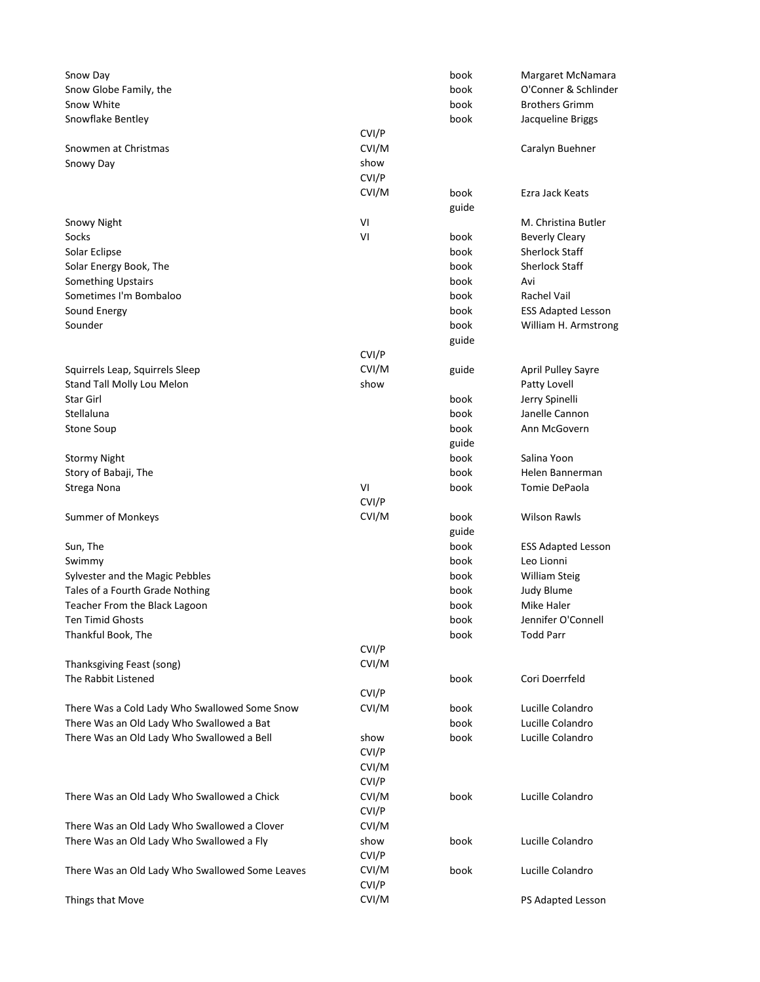| Snow Day                                        |       | book  | Margaret McNamara         |
|-------------------------------------------------|-------|-------|---------------------------|
| Snow Globe Family, the                          |       | book  | O'Conner & Schlinder      |
| Snow White                                      |       | book  | <b>Brothers Grimm</b>     |
| Snowflake Bentley                               |       | book  | Jacqueline Briggs         |
|                                                 | CVI/P |       |                           |
| Snowmen at Christmas                            | CVI/M |       | Caralyn Buehner           |
| Snowy Day                                       | show  |       |                           |
|                                                 | CVI/P |       |                           |
|                                                 | CVI/M | book  | Ezra Jack Keats           |
|                                                 |       | guide |                           |
| Snowy Night                                     | VI    |       | M. Christina Butler       |
| Socks                                           | VI    | book  | <b>Beverly Cleary</b>     |
| Solar Eclipse                                   |       | book  | <b>Sherlock Staff</b>     |
| Solar Energy Book, The                          |       | book  | <b>Sherlock Staff</b>     |
| <b>Something Upstairs</b>                       |       | book  | Avi                       |
| Sometimes I'm Bombaloo                          |       | book  | Rachel Vail               |
| Sound Energy                                    |       | book  | <b>ESS Adapted Lesson</b> |
| Sounder                                         |       | book  | William H. Armstrong      |
|                                                 |       | guide |                           |
|                                                 | CVI/P |       |                           |
| Squirrels Leap, Squirrels Sleep                 | CVI/M | guide | <b>April Pulley Sayre</b> |
| Stand Tall Molly Lou Melon                      | show  |       | Patty Lovell              |
| Star Girl                                       |       | book  | Jerry Spinelli            |
| Stellaluna                                      |       | book  | Janelle Cannon            |
| <b>Stone Soup</b>                               |       | book  | Ann McGovern              |
|                                                 |       | guide |                           |
| <b>Stormy Night</b>                             |       | book  | Salina Yoon               |
| Story of Babaji, The                            |       | book  | Helen Bannerman           |
| Strega Nona                                     | VI    | book  | Tomie DePaola             |
|                                                 | CVI/P |       |                           |
| Summer of Monkeys                               | CVI/M | book  | <b>Wilson Rawls</b>       |
|                                                 |       | guide |                           |
| Sun, The                                        |       | book  | <b>ESS Adapted Lesson</b> |
| Swimmy                                          |       | book  | Leo Lionni                |
| Sylvester and the Magic Pebbles                 |       | book  | William Steig             |
| Tales of a Fourth Grade Nothing                 |       | book  | Judy Blume                |
| Teacher From the Black Lagoon                   |       | book  | Mike Haler                |
| Ten Timid Ghosts                                |       | book  | Jennifer O'Connell        |
| Thankful Book, The                              |       | book  | <b>Todd Parr</b>          |
|                                                 | CVI/P |       |                           |
| Thanksgiving Feast (song)                       | CVI/M |       |                           |
| The Rabbit Listened                             |       | book  | Cori Doerrfeld            |
|                                                 | CVI/P |       |                           |
| There Was a Cold Lady Who Swallowed Some Snow   | CVI/M | book  | Lucille Colandro          |
| There Was an Old Lady Who Swallowed a Bat       |       | book  | Lucille Colandro          |
| There Was an Old Lady Who Swallowed a Bell      | show  | book  | Lucille Colandro          |
|                                                 | CVI/P |       |                           |
|                                                 | CVI/M |       |                           |
|                                                 | CVI/P |       |                           |
| There Was an Old Lady Who Swallowed a Chick     | CVI/M | book  | Lucille Colandro          |
|                                                 | CVI/P |       |                           |
| There Was an Old Lady Who Swallowed a Clover    | CVI/M |       |                           |
| There Was an Old Lady Who Swallowed a Fly       | show  | book  | Lucille Colandro          |
|                                                 | CVI/P |       |                           |
| There Was an Old Lady Who Swallowed Some Leaves | CVI/M | book  | Lucille Colandro          |
|                                                 | CVI/P |       |                           |
| Things that Move                                | CVI/M |       | PS Adapted Lesson         |
|                                                 |       |       |                           |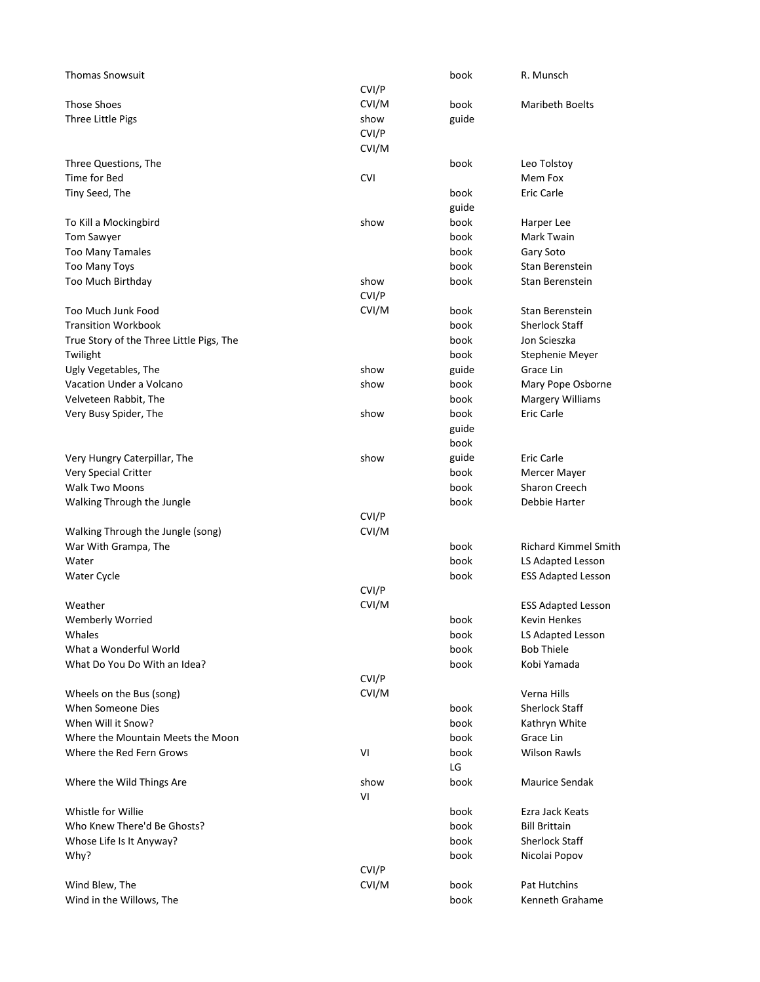| <b>Thomas Snowsuit</b>                   |            | book  | R. Munsch                   |
|------------------------------------------|------------|-------|-----------------------------|
|                                          | CVI/P      |       |                             |
| <b>Those Shoes</b>                       | CVI/M      | book  | <b>Maribeth Boelts</b>      |
| Three Little Pigs                        | show       | guide |                             |
|                                          | CVI/P      |       |                             |
|                                          | CVI/M      |       |                             |
| Three Questions, The                     |            | book  | Leo Tolstoy                 |
| Time for Bed                             | <b>CVI</b> |       | Mem Fox                     |
| Tiny Seed, The                           |            | book  | Eric Carle                  |
|                                          |            | guide |                             |
| To Kill a Mockingbird                    | show       | book  | Harper Lee                  |
| Tom Sawyer                               |            | book  | Mark Twain                  |
| <b>Too Many Tamales</b>                  |            | book  | Gary Soto                   |
| Too Many Toys                            |            | book  | Stan Berenstein             |
| Too Much Birthday                        | show       | book  | Stan Berenstein             |
|                                          | CVI/P      |       |                             |
| Too Much Junk Food                       | CVI/M      | book  | Stan Berenstein             |
| <b>Transition Workbook</b>               |            | book  | <b>Sherlock Staff</b>       |
| True Story of the Three Little Pigs, The |            | book  | Jon Scieszka                |
| Twilight                                 |            | book  | Stephenie Meyer             |
| Ugly Vegetables, The                     | show       | guide | Grace Lin                   |
| Vacation Under a Volcano                 | show       | book  | Mary Pope Osborne           |
| Velveteen Rabbit, The                    |            | book  | <b>Margery Williams</b>     |
| Very Busy Spider, The                    | show       | book  | <b>Eric Carle</b>           |
|                                          |            | guide |                             |
|                                          |            | book  |                             |
| Very Hungry Caterpillar, The             | show       | guide | Eric Carle                  |
| Very Special Critter                     |            | book  | Mercer Mayer                |
| Walk Two Moons                           |            | book  | Sharon Creech               |
| Walking Through the Jungle               |            | book  | Debbie Harter               |
|                                          | CVI/P      |       |                             |
| Walking Through the Jungle (song)        | CVI/M      |       |                             |
| War With Grampa, The                     |            | book  | <b>Richard Kimmel Smith</b> |
| Water                                    |            | book  | LS Adapted Lesson           |
| Water Cycle                              |            | book  | <b>ESS Adapted Lesson</b>   |
|                                          | CVI/P      |       |                             |
| Weather                                  | CVI/M      |       | <b>ESS Adapted Lesson</b>   |
| Wemberly Worried                         |            | book  | Kevin Henkes                |
| Whales                                   |            | book  | LS Adapted Lesson           |
| What a Wonderful World                   |            | book  | <b>Bob Thiele</b>           |
| What Do You Do With an Idea?             |            | book  | Kobi Yamada                 |
|                                          | CVI/P      |       |                             |
| Wheels on the Bus (song)                 | CVI/M      |       | Verna Hills                 |
| When Someone Dies                        |            | book  | Sherlock Staff              |
| When Will it Snow?                       |            | book  | Kathryn White               |
| Where the Mountain Meets the Moon        |            | book  | Grace Lin                   |
| Where the Red Fern Grows                 | VI         | book  | <b>Wilson Rawls</b>         |
|                                          |            | LG    |                             |
| Where the Wild Things Are                | show<br>VI | book  | Maurice Sendak              |
| Whistle for Willie                       |            | book  | Ezra Jack Keats             |
| Who Knew There'd Be Ghosts?              |            | book  | <b>Bill Brittain</b>        |
| Whose Life Is It Anyway?                 |            | book  | <b>Sherlock Staff</b>       |
| Why?                                     |            | book  | Nicolai Popov               |
|                                          | CVI/P      |       |                             |
| Wind Blew, The                           | CVI/M      | book  | Pat Hutchins                |
| Wind in the Willows, The                 |            | book  | Kenneth Grahame             |
|                                          |            |       |                             |